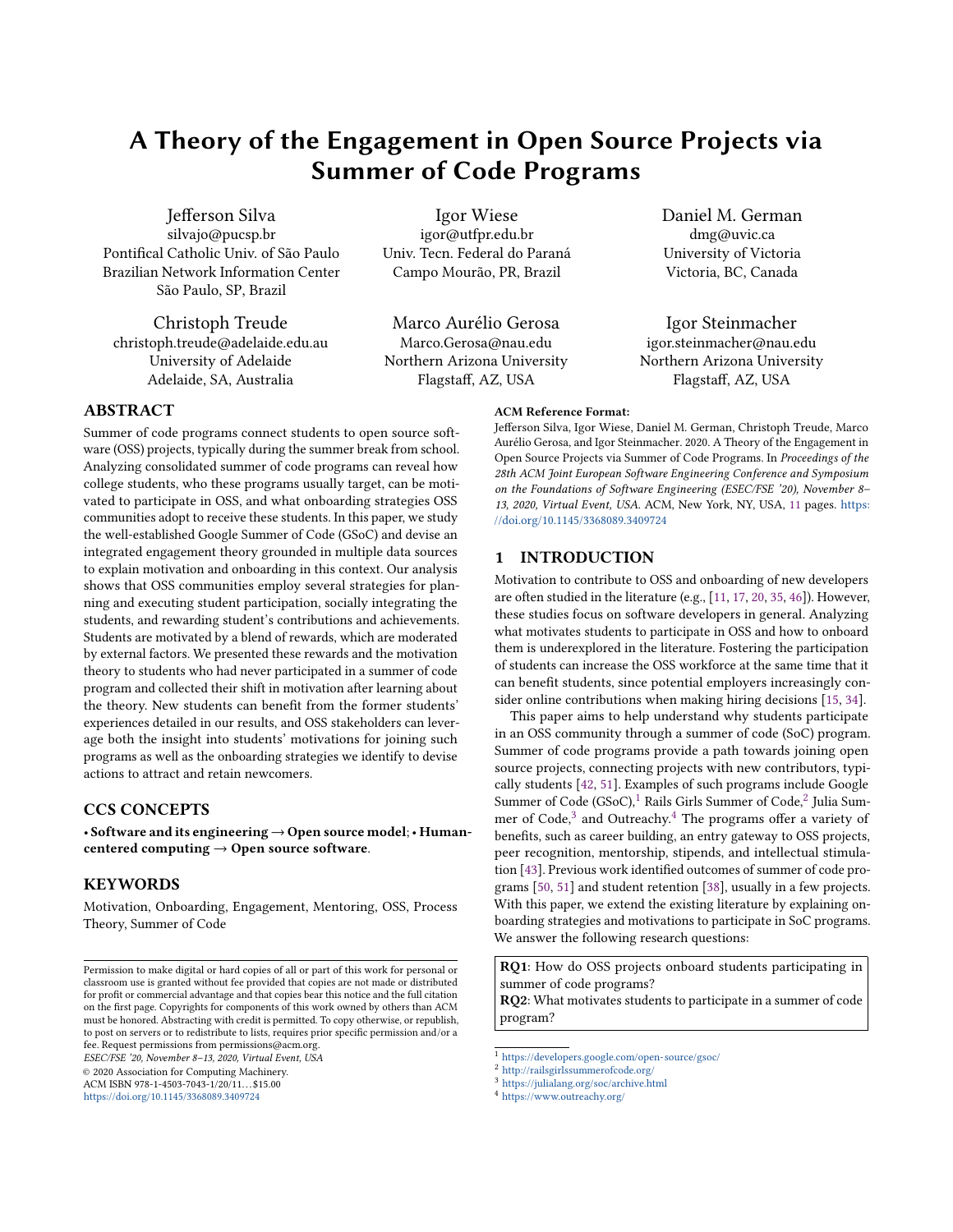# A Theory of the Engagement in Open Source Projects via Summer of Code Programs

Jefferson Silva silvajo@pucsp.br Pontifical Catholic Univ. of São Paulo Brazilian Network Information Center São Paulo, SP, Brazil

Christoph Treude christoph.treude@adelaide.edu.au University of Adelaide Adelaide, SA, Australia

Igor Wiese igor@utfpr.edu.br Univ. Tecn. Federal do Paraná Campo Mourão, PR, Brazil

Marco Aurélio Gerosa Marco.Gerosa@nau.edu Northern Arizona University Flagstaff, AZ, USA

Daniel M. German dmg@uvic.ca University of Victoria Victoria, BC, Canada

Igor Steinmacher igor.steinmacher@nau.edu Northern Arizona University Flagstaff, AZ, USA

Summer of code programs connect students to open source software (OSS) projects, typically during the summer break from school. Analyzing consolidated summer of code programs can reveal how college students, who these programs usually target, can be motivated to participate in OSS, and what onboarding strategies OSS communities adopt to receive these students. In this paper, we study the well-established Google Summer of Code (GSoC) and devise an integrated engagement theory grounded in multiple data sources to explain motivation and onboarding in this context. Our analysis shows that OSS communities employ several strategies for planning and executing student participation, socially integrating the students, and rewarding student's contributions and achievements. Students are motivated by a blend of rewards, which are moderated by external factors. We presented these rewards and the motivation theory to students who had never participated in a summer of code program and collected their shift in motivation after learning about the theory. New students can benefit from the former students' experiences detailed in our results, and OSS stakeholders can leverage both the insight into students' motivations for joining such programs as well as the onboarding strategies we identify to devise actions to attract and retain newcomers.

# CCS CONCEPTS

• Software and its engineering→Open source model;• Humancentered computing  $\rightarrow$  Open source software.

## KEYWORDS

ABSTRACT

Motivation, Onboarding, Engagement, Mentoring, OSS, Process Theory, Summer of Code

ESEC/FSE '20, November 8–13, 2020, Virtual Event, USA

© 2020 Association for Computing Machinery.

ACM ISBN 978-1-4503-7043-1/20/11...\$15.00

<https://doi.org/10.1145/3368089.3409724>

on the Foundations of Software Engineering (ESEC/FSE '20), November 8– 13, 2020, Virtual Event, USA. ACM, New York, NY, USA, [11](#page-10-0) pages. [https:](https://doi.org/10.1145/3368089.3409724) [//doi.org/10.1145/3368089.3409724](https://doi.org/10.1145/3368089.3409724)

Jefferson Silva, Igor Wiese, Daniel M. German, Christoph Treude, Marco Aurélio Gerosa, and Igor Steinmacher. 2020. A Theory of the Engagement in Open Source Projects via Summer of Code Programs. In Proceedings of the 28th ACM Joint European Software Engineering Conference and Symposium

# 1 INTRODUCTION

ACM Reference Format:

Motivation to contribute to OSS and onboarding of new developers are often studied in the literature (e.g., [\[11,](#page-9-0) [17,](#page-9-1) [20,](#page-9-2) [35,](#page-10-1) [46\]](#page-10-2)). However, these studies focus on software developers in general. Analyzing what motivates students to participate in OSS and how to onboard them is underexplored in the literature. Fostering the participation of students can increase the OSS workforce at the same time that it can benefit students, since potential employers increasingly consider online contributions when making hiring decisions [\[15,](#page-9-3) [34\]](#page-10-3).

This paper aims to help understand why students participate in an OSS community through a summer of code (SoC) program. Summer of code programs provide a path towards joining open source projects, connecting projects with new contributors, typically students [\[42,](#page-10-4) [51\]](#page-10-5). Examples of such programs include Google Summer of Code (GSoC),  $\frac{1}{2}$  $\frac{1}{2}$  $\frac{1}{2}$  $\frac{1}{2}$  $\frac{1}{2}$  Rails Girls Summer of Code,  $\frac{2}{2}$  Julia Sum-mer of Code.<sup>[3](#page-0-2)</sup> and Outreachy.<sup>[4](#page-0-3)</sup> The programs offer a variety of benefits, such as career building, an entry gateway to OSS projects, peer recognition, mentorship, stipends, and intellectual stimulation [\[43\]](#page-10-6). Previous work identified outcomes of summer of code programs [\[50,](#page-10-7) [51\]](#page-10-5) and student retention [\[38\]](#page-10-8), usually in a few projects. With this paper, we extend the existing literature by explaining onboarding strategies and motivations to participate in SoC programs. We answer the following research questions:

RQ1: How do OSS projects onboard students participating in summer of code programs?

RQ2: What motivates students to participate in a summer of code program?

Permission to make digital or hard copies of all or part of this work for personal or classroom use is granted without fee provided that copies are not made or distributed for profit or commercial advantage and that copies bear this notice and the full citation on the first page. Copyrights for components of this work owned by others than ACM must be honored. Abstracting with credit is permitted. To copy otherwise, or republish, to post on servers or to redistribute to lists, requires prior specific permission and/or a fee. Request permissions from permissions@acm.org.

<span id="page-0-0"></span><sup>1</sup> <https://developers.google.com/open-source/gsoc/>

<span id="page-0-1"></span><sup>2</sup> <http://railsgirlssummerofcode.org/>

<span id="page-0-2"></span><sup>3</sup> <https://julialang.org/soc/archive.html>

<span id="page-0-3"></span><sup>4</sup> <https://www.outreachy.org/>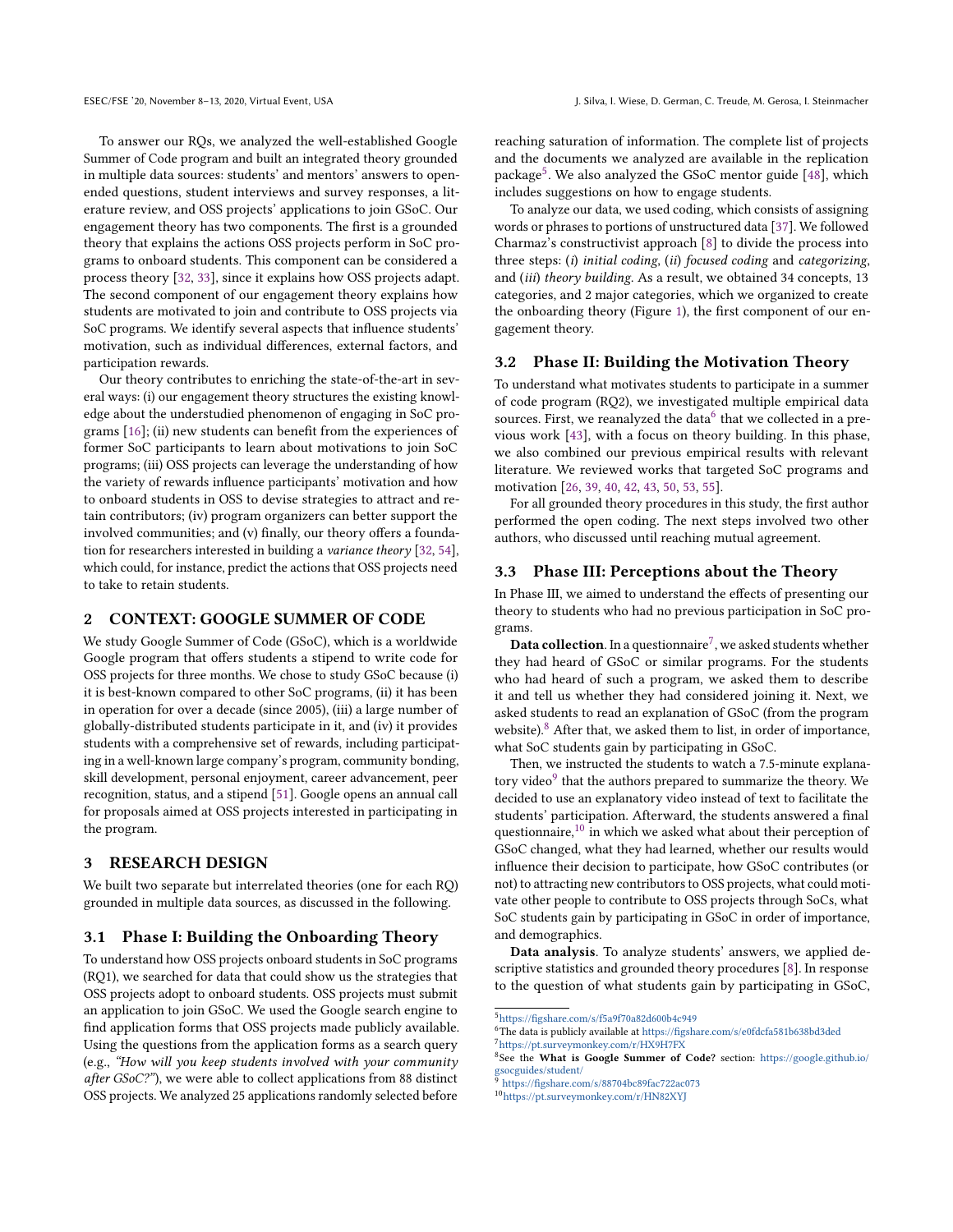To answer our RQs, we analyzed the well-established Google Summer of Code program and built an integrated theory grounded in multiple data sources: students' and mentors' answers to openended questions, student interviews and survey responses, a literature review, and OSS projects' applications to join GSoC. Our engagement theory has two components. The first is a grounded theory that explains the actions OSS projects perform in SoC programs to onboard students. This component can be considered a process theory [\[32,](#page-10-9) [33\]](#page-10-10), since it explains how OSS projects adapt. The second component of our engagement theory explains how students are motivated to join and contribute to OSS projects via SoC programs. We identify several aspects that influence students' motivation, such as individual differences, external factors, and participation rewards.

Our theory contributes to enriching the state-of-the-art in several ways: (i) our engagement theory structures the existing knowledge about the understudied phenomenon of engaging in SoC programs [\[16\]](#page-9-4); (ii) new students can benefit from the experiences of former SoC participants to learn about motivations to join SoC programs; (iii) OSS projects can leverage the understanding of how the variety of rewards influence participants' motivation and how to onboard students in OSS to devise strategies to attract and retain contributors; (iv) program organizers can better support the involved communities; and (v) finally, our theory offers a foundation for researchers interested in building a variance theory [\[32,](#page-10-9) [54\]](#page-10-11), which could, for instance, predict the actions that OSS projects need to take to retain students.

# 2 CONTEXT: GOOGLE SUMMER OF CODE

We study Google Summer of Code (GSoC), which is a worldwide Google program that offers students a stipend to write code for OSS projects for three months. We chose to study GSoC because (i) it is best-known compared to other SoC programs, (ii) it has been in operation for over a decade (since 2005), (iii) a large number of globally-distributed students participate in it, and (iv) it provides students with a comprehensive set of rewards, including participating in a well-known large company's program, community bonding, skill development, personal enjoyment, career advancement, peer recognition, status, and a stipend [\[51\]](#page-10-5). Google opens an annual call for proposals aimed at OSS projects interested in participating in the program.

# 3 RESEARCH DESIGN

We built two separate but interrelated theories (one for each RQ) grounded in multiple data sources, as discussed in the following.

#### 3.1 Phase I: Building the Onboarding Theory

To understand how OSS projects onboard students in SoC programs (RQ1), we searched for data that could show us the strategies that OSS projects adopt to onboard students. OSS projects must submit an application to join GSoC. We used the Google search engine to find application forms that OSS projects made publicly available. Using the questions from the application forms as a search query (e.g., "How will you keep students involved with your community after GSoC?"), we were able to collect applications from 88 distinct OSS projects. We analyzed 25 applications randomly selected before

reaching saturation of information. The complete list of projects and the documents we analyzed are available in the replication package[5](#page-1-0) . We also analyzed the GSoC mentor guide [\[48\]](#page-10-12), which includes suggestions on how to engage students.

To analyze our data, we used coding, which consists of assigning words or phrases to portions of unstructured data [\[37\]](#page-10-13). We followed Charmaz's constructivist approach [\[8\]](#page-9-5) to divide the process into three steps: (i) initial coding, (ii) focused coding and categorizing, and (iii) theory building. As a result, we obtained 34 concepts, 13 categories, and 2 major categories, which we organized to create the onboarding theory (Figure [1\)](#page-3-0), the first component of our engagement theory.

# 3.2 Phase II: Building the Motivation Theory

To understand what motivates students to participate in a summer of code program (RQ2), we investigated multiple empirical data sources. First, we reanalyzed the data <sup>[6](#page-1-1)</sup> that we collected in a previous work [\[43\]](#page-10-6), with a focus on theory building. In this phase, we also combined our previous empirical results with relevant literature. We reviewed works that targeted SoC programs and motivation [\[26,](#page-10-14) [39,](#page-10-15) [40,](#page-10-16) [42,](#page-10-4) [43,](#page-10-6) [50,](#page-10-7) [53,](#page-10-17) [55\]](#page-10-18).

For all grounded theory procedures in this study, the first author performed the open coding. The next steps involved two other authors, who discussed until reaching mutual agreement.

## 3.3 Phase III: Perceptions about the Theory

In Phase III, we aimed to understand the effects of presenting our theory to students who had no previous participation in SoC programs.

**Data collection**. In a questionnaire<sup>[7](#page-1-2)</sup>, we asked students whether they had heard of GSoC or similar programs. For the students who had heard of such a program, we asked them to describe it and tell us whether they had considered joining it. Next, we asked students to read an explanation of GSoC (from the program website). $8$  After that, we asked them to list, in order of importance, what SoC students gain by participating in GSoC.

Then, we instructed the students to watch a 7.5-minute explana-tory video<sup>[9](#page-1-4)</sup> that the authors prepared to summarize the theory. We decided to use an explanatory video instead of text to facilitate the students' participation. Afterward, the students answered a final questionnaire, $10$  in which we asked what about their perception of GSoC changed, what they had learned, whether our results would influence their decision to participate, how GSoC contributes (or not) to attracting new contributors to OSS projects, what could motivate other people to contribute to OSS projects through SoCs, what SoC students gain by participating in GSoC in order of importance, and demographics.

Data analysis. To analyze students' answers, we applied descriptive statistics and grounded theory procedures [\[8\]](#page-9-5). In response to the question of what students gain by participating in GSoC,

<span id="page-1-0"></span><sup>5</sup><https://figshare.com/s/f5a9f70a82d600b4c949>

<span id="page-1-2"></span><span id="page-1-1"></span><sup>6</sup>The data is publicly available at <https://figshare.com/s/e0fdcfa581b638bd3ded> <sup>7</sup><https://pt.surveymonkey.com/r/HX9H7FX>

<span id="page-1-3"></span><sup>&</sup>lt;sup>8</sup>See the What is Google Summer of Code? section: [https://google.github.io/](https://google.github.io/gsocguides/student/) [gsocguides/student/](https://google.github.io/gsocguides/student/)

<span id="page-1-4"></span><sup>9</sup> <https://figshare.com/s/88704bc89fac722ac073>

<span id="page-1-5"></span><sup>10</sup><https://pt.surveymonkey.com/r/HN82XYJ>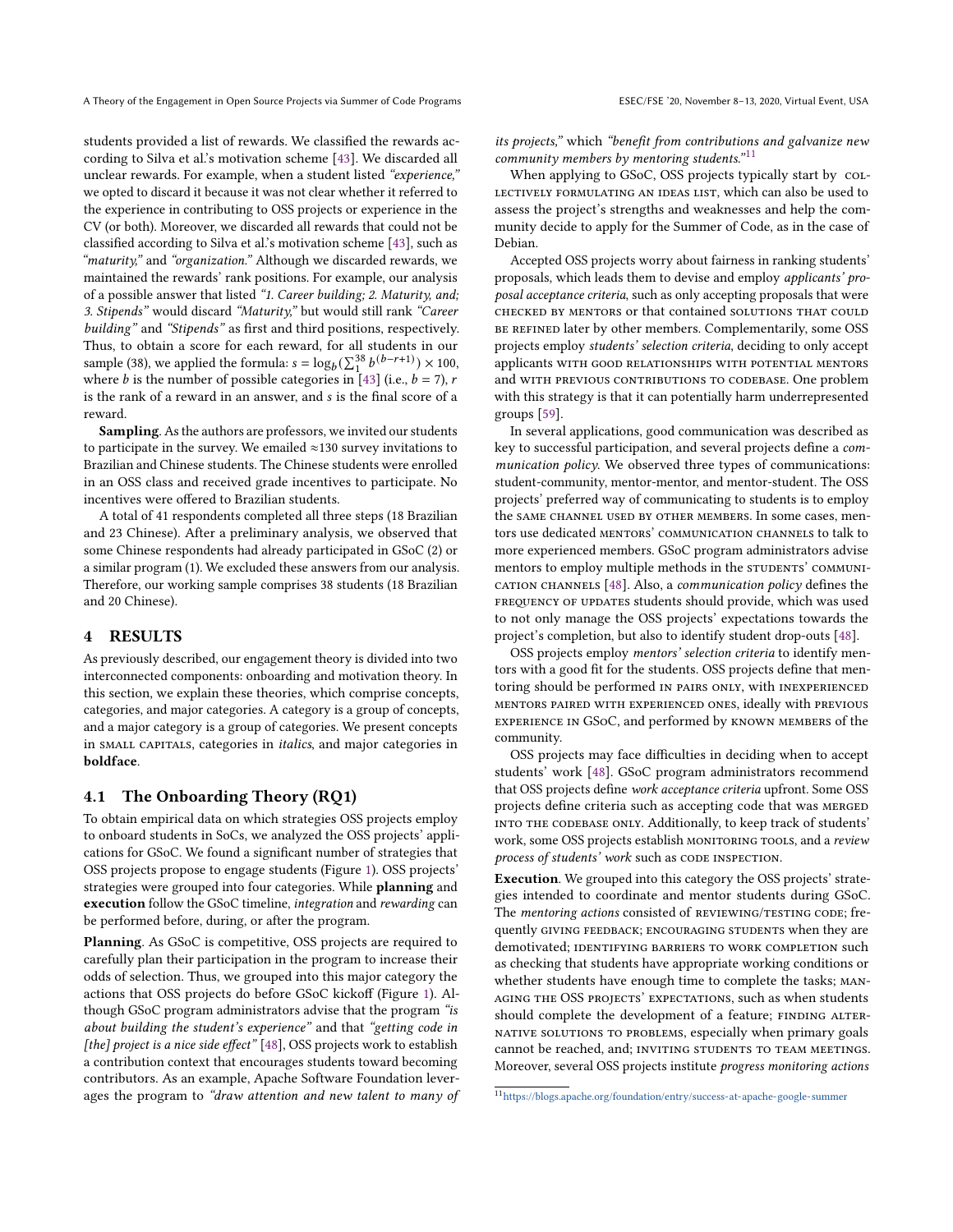students provided a list of rewards. We classified the rewards according to Silva et al.'s motivation scheme [\[43\]](#page-10-6). We discarded all unclear rewards. For example, when a student listed "experience," we opted to discard it because it was not clear whether it referred to the experience in contributing to OSS projects or experience in the CV (or both). Moreover, we discarded all rewards that could not be classified according to Silva et al.'s motivation scheme [\[43\]](#page-10-6), such as "maturity," and "organization." Although we discarded rewards, we maintained the rewards' rank positions. For example, our analysis of a possible answer that listed "1. Career building; 2. Maturity, and; 3. Stipends" would discard "Maturity," but would still rank "Career building" and "Stipends" as first and third positions, respectively. Thus, to obtain a score for each reward, for all students in our sample (38), we applied the formula:  $s = \log_b(\sum_1^{38} b^{(b-r+1)}) \times 100$ , where *b* is the number of possible categories in [\[43\]](#page-10-6) (i.e.,  $b = 7$ ), *r* is the rank of a reward in an answer, and s is the final score of a

Sampling. As the authors are professors, we invited our students to participate in the survey. We emailed  $\approx$ 130 survey invitations to Brazilian and Chinese students. The Chinese students were enrolled in an OSS class and received grade incentives to participate. No incentives were offered to Brazilian students.

A total of 41 respondents completed all three steps (18 Brazilian and 23 Chinese). After a preliminary analysis, we observed that some Chinese respondents had already participated in GSoC (2) or a similar program (1). We excluded these answers from our analysis. Therefore, our working sample comprises 38 students (18 Brazilian and 20 Chinese).

#### 4 RESULTS

reward.

As previously described, our engagement theory is divided into two interconnected components: onboarding and motivation theory. In this section, we explain these theories, which comprise concepts, categories, and major categories. A category is a group of concepts, and a major category is a group of categories. We present concepts in SMALL CAPITALS, categories in *italics*, and major categories in boldface.

# 4.1 The Onboarding Theory (RQ1)

To obtain empirical data on which strategies OSS projects employ to onboard students in SoCs, we analyzed the OSS projects' applications for GSoC. We found a significant number of strategies that OSS projects propose to engage students (Figure [1\)](#page-3-0). OSS projects' strategies were grouped into four categories. While planning and execution follow the GSoC timeline, integration and rewarding can be performed before, during, or after the program.

Planning. As GSoC is competitive, OSS projects are required to carefully plan their participation in the program to increase their odds of selection. Thus, we grouped into this major category the actions that OSS projects do before GSoC kickoff (Figure [1\)](#page-3-0). Although GSoC program administrators advise that the program "is about building the student's experience" and that "getting code in [the] project is a nice side effect" [\[48\]](#page-10-12), OSS projects work to establish a contribution context that encourages students toward becoming contributors. As an example, Apache Software Foundation leverages the program to "draw attention and new talent to many of its projects," which "benefit from contributions and galvanize new community members by mentoring students." $11$ 

When applying to GSoC, OSS projects typically start by collectively formulating an ideas list, which can also be used to assess the project's strengths and weaknesses and help the community decide to apply for the Summer of Code, as in the case of Debian.

Accepted OSS projects worry about fairness in ranking students' proposals, which leads them to devise and employ applicants' proposal acceptance criteria, such as only accepting proposals that were checked by mentors or that contained solutions that could be refined later by other members. Complementarily, some OSS projects employ students' selection criteria, deciding to only accept applicants with good relationships with potential mentors and WITH PREVIOUS CONTRIBUTIONS TO CODEBASE. One problem with this strategy is that it can potentially harm underrepresented groups [\[59\]](#page-10-19).

In several applications, good communication was described as key to successful participation, and several projects define a communication policy. We observed three types of communications: student-community, mentor-mentor, and mentor-student. The OSS projects' preferred way of communicating to students is to employ the SAME CHANNEL USED BY OTHER MEMBERS. In some cases, mentors use dedicated mentors' communication channels to talk to more experienced members. GSoC program administrators advise mentors to employ multiple methods in the STUDENTS' COMMUNI-CATION CHANNELS  $[48]$ . Also, a *communication policy* defines the FREQUENCY OF UPDATES students should provide, which was used to not only manage the OSS projects' expectations towards the project's completion, but also to identify student drop-outs [\[48\]](#page-10-12).

OSS projects employ mentors' selection criteria to identify mentors with a good fit for the students. OSS projects define that mentoring should be performed IN PAIRS ONLY, with INEXPERIENCED mentors paired with experienced ones, ideally with previous experience in GSoC, and performed by known members of the community.

OSS projects may face difficulties in deciding when to accept students' work [\[48\]](#page-10-12). GSoC program administrators recommend that OSS projects define work acceptance criteria upfront. Some OSS projects define criteria such as accepting code that was MERGED into the codebase only. Additionally, to keep track of students' work, some OSS projects establish MONITORING TOOLS, and a review process of students' work such as CODE INSPECTION.

Execution. We grouped into this category the OSS projects' strategies intended to coordinate and mentor students during GSoC. The mentoring actions consisted of REVIEWING/TESTING CODE; frequently giving feedback; encouraging students when they are demotivated; IDENTIFYING BARRIERS TO WORK COMPLETION such as checking that students have appropriate working conditions or whether students have enough time to complete the tasks; managing the OSS projects' expectations, such as when students should complete the development of a feature; FINDING ALTERnative solutions to problems, especially when primary goals cannot be reached, and; INVITING STUDENTS TO TEAM MEETINGS. Moreover, several OSS projects institute progress monitoring actions

<span id="page-2-0"></span><sup>11</sup><https://blogs.apache.org/foundation/entry/success-at-apache-google-summer>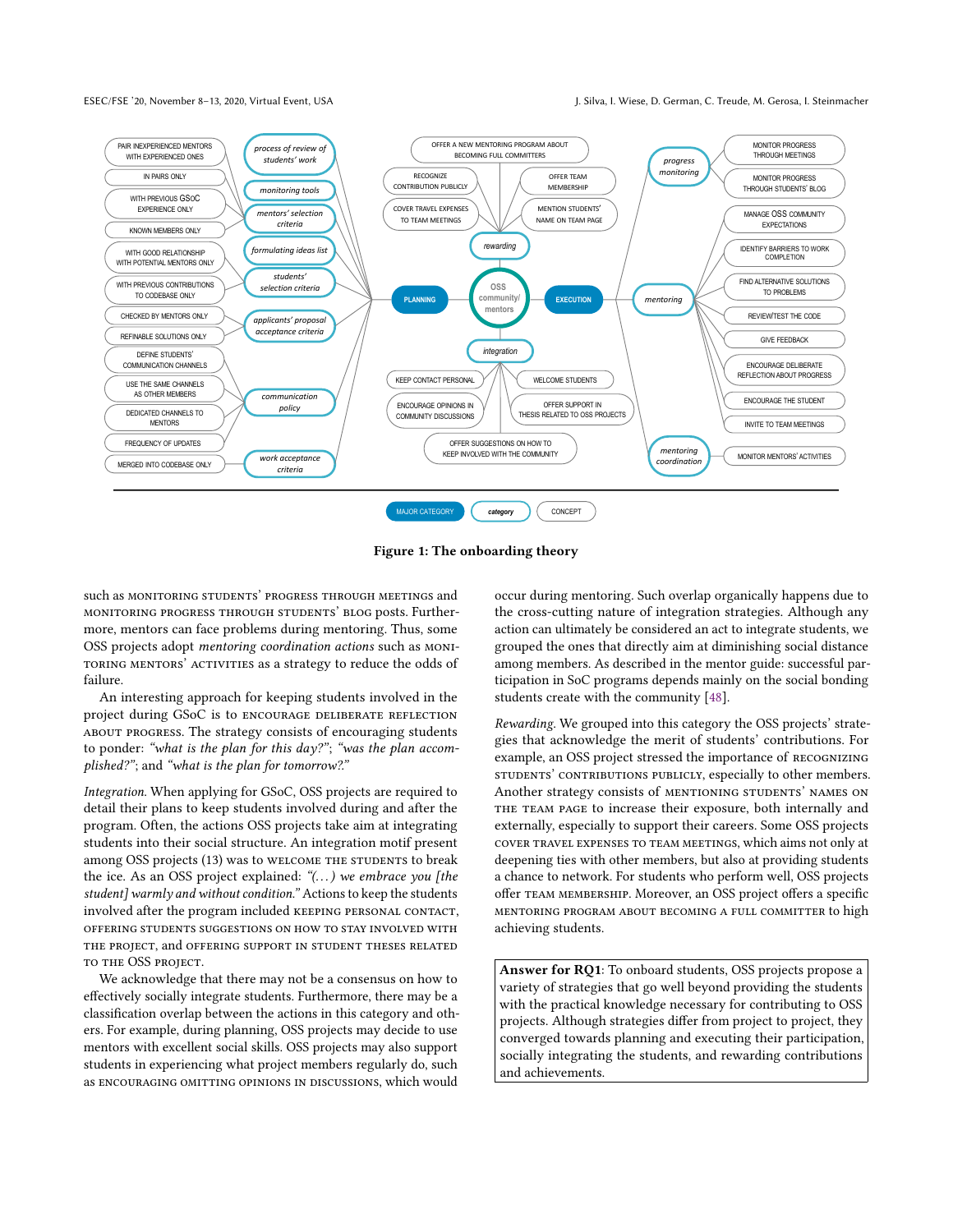ESEC/FSE '20, November 8–13, 2020, Virtual Event, USA J. Silva, I. Wiese, D. German, C. Treude, M. Gerosa, I. Steinmacher

<span id="page-3-0"></span>

Figure 1: The onboarding theory

such as MONITORING STUDENTS' PROGRESS THROUGH MEETINGS and monitoring progress through students' blog posts. Furthermore, mentors can face problems during mentoring. Thus, some OSS projects adopt mentoring coordination actions such as monitoring mentors' activities as a strategy to reduce the odds of failure.

An interesting approach for keeping students involved in the project during GSoC is to ENCOURAGE DELIBERATE REFLECTION about progress. The strategy consists of encouraging students to ponder: "what is the plan for this day?"; "was the plan accomplished?"; and "what is the plan for tomorrow?."

Integration. When applying for GSoC, OSS projects are required to detail their plans to keep students involved during and after the program. Often, the actions OSS projects take aim at integrating students into their social structure. An integration motif present among OSS projects (13) was to WELCOME THE STUDENTS to break the ice. As an OSS project explained: " $(...)$  we embrace you [the student] warmly and without condition." Actions to keep the students involved after the program included KEEPING PERSONAL CONTACT, offering students suggestions on how to stay involved with the project, and offering support in student theses related to the OSS project.

We acknowledge that there may not be a consensus on how to effectively socially integrate students. Furthermore, there may be a classification overlap between the actions in this category and others. For example, during planning, OSS projects may decide to use mentors with excellent social skills. OSS projects may also support students in experiencing what project members regularly do, such as encouraging omitting opinions in discussions, which would

occur during mentoring. Such overlap organically happens due to the cross-cutting nature of integration strategies. Although any action can ultimately be considered an act to integrate students, we grouped the ones that directly aim at diminishing social distance among members. As described in the mentor guide: successful participation in SoC programs depends mainly on the social bonding students create with the community [\[48\]](#page-10-12).

Rewarding. We grouped into this category the OSS projects' strategies that acknowledge the merit of students' contributions. For example, an OSS project stressed the importance of recognizing students' contributions publicly, especially to other members. Another strategy consists of MENTIONING STUDENTS' NAMES ON THE TEAM PAGE to increase their exposure, both internally and externally, especially to support their careers. Some OSS projects cover travel expenses to team meetings, which aims not only at deepening ties with other members, but also at providing students a chance to network. For students who perform well, OSS projects offer team membership. Moreover, an OSS project offers a specific mentoring program about becoming a full committer to high achieving students.

Answer for RO1: To onboard students, OSS projects propose a variety of strategies that go well beyond providing the students with the practical knowledge necessary for contributing to OSS projects. Although strategies differ from project to project, they converged towards planning and executing their participation, socially integrating the students, and rewarding contributions and achievements.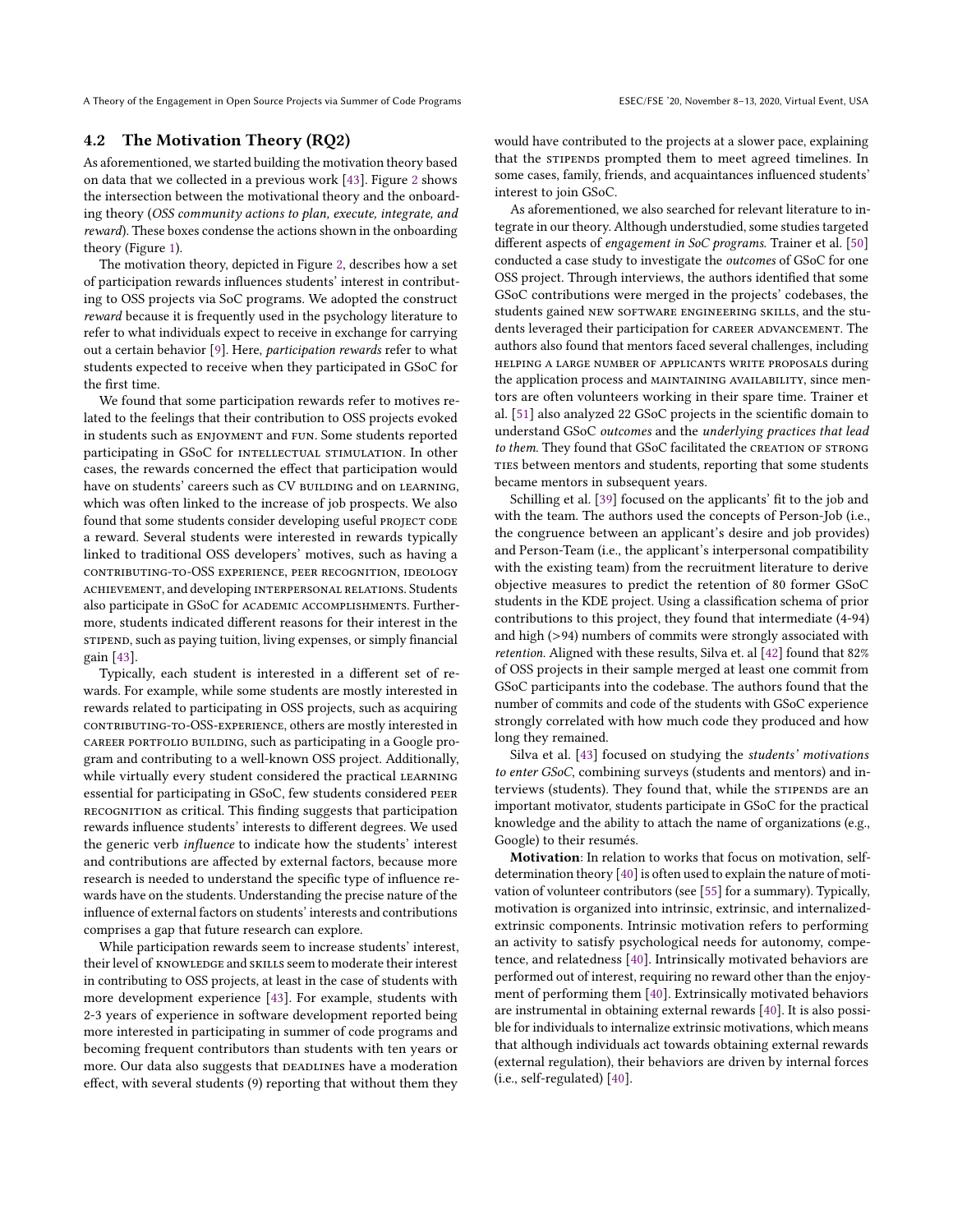# <span id="page-4-0"></span>4.2 The Motivation Theory (RQ2)

As aforementioned, we started building the motivation theory based on data that we collected in a previous work [\[43\]](#page-10-6). Figure [2](#page-5-0) shows the intersection between the motivational theory and the onboarding theory (OSS community actions to plan, execute, integrate, and reward). These boxes condense the actions shown in the onboarding theory (Figure [1\)](#page-3-0).

The motivation theory, depicted in Figure [2,](#page-5-0) describes how a set of participation rewards influences students' interest in contributing to OSS projects via SoC programs. We adopted the construct reward because it is frequently used in the psychology literature to refer to what individuals expect to receive in exchange for carrying out a certain behavior [\[9\]](#page-9-6). Here, participation rewards refer to what students expected to receive when they participated in GSoC for the first time.

We found that some participation rewards refer to motives related to the feelings that their contribution to OSS projects evoked in students such as enjoyment and fun. Some students reported participating in GSoC for INTELLECTUAL STIMULATION. In other cases, the rewards concerned the effect that participation would have on students' careers such as CV BUILDING and on LEARNING, which was often linked to the increase of job prospects. We also found that some students consider developing useful PROJECT CODE a reward. Several students were interested in rewards typically linked to traditional OSS developers' motives, such as having a contributing-to-OSS experience, peer recognition, ideology achievement, and developing interpersonal relations. Students also participate in GSoC for ACADEMIC ACCOMPLISHMENTS. Furthermore, students indicated different reasons for their interest in the sTIPEND, such as paying tuition, living expenses, or simply financial gain [\[43\]](#page-10-6).

Typically, each student is interested in a different set of rewards. For example, while some students are mostly interested in rewards related to participating in OSS projects, such as acquiring contributing-to-OSS-experience, others are mostly interested in career portfolio building, such as participating in a Google program and contributing to a well-known OSS project. Additionally, while virtually every student considered the practical LEARNING essential for participating in GSoC, few students considered peer recognition as critical. This finding suggests that participation rewards influence students' interests to different degrees. We used the generic verb influence to indicate how the students' interest and contributions are affected by external factors, because more research is needed to understand the specific type of influence rewards have on the students. Understanding the precise nature of the influence of external factors on students' interests and contributions comprises a gap that future research can explore.

While participation rewards seem to increase students' interest, their level of KNOWLEDGE and SKILLS seem to moderate their interest in contributing to OSS projects, at least in the case of students with more development experience [\[43\]](#page-10-6). For example, students with 2-3 years of experience in software development reported being more interested in participating in summer of code programs and becoming frequent contributors than students with ten years or more. Our data also suggests that DEADLINES have a moderation effect, with several students (9) reporting that without them they

would have contributed to the projects at a slower pace, explaining that the STIPENDS prompted them to meet agreed timelines. In some cases, family, friends, and acquaintances influenced students' interest to join GSoC.

As aforementioned, we also searched for relevant literature to integrate in our theory. Although understudied, some studies targeted different aspects of engagement in SoC programs. Trainer et al. [\[50\]](#page-10-7) conducted a case study to investigate the outcomes of GSoC for one OSS project. Through interviews, the authors identified that some GSoC contributions were merged in the projects' codebases, the students gained NEW SOFTWARE ENGINEERING SKILLS, and the students leveraged their participation for CAREER ADVANCEMENT. The authors also found that mentors faced several challenges, including helping a large number of applicants write proposals during the application process and MAINTAINING AVAILABILITY, since mentors are often volunteers working in their spare time. Trainer et al. [\[51\]](#page-10-5) also analyzed 22 GSoC projects in the scientific domain to understand GSoC outcomes and the underlying practices that lead to them. They found that GSoC facilitated the CREATION OF STRONG TIES between mentors and students, reporting that some students became mentors in subsequent years.

Schilling et al. [\[39\]](#page-10-15) focused on the applicants' fit to the job and with the team. The authors used the concepts of Person-Job (i.e., the congruence between an applicant's desire and job provides) and Person-Team (i.e., the applicant's interpersonal compatibility with the existing team) from the recruitment literature to derive objective measures to predict the retention of 80 former GSoC students in the KDE project. Using a classification schema of prior contributions to this project, they found that intermediate (4-94) and high (>94) numbers of commits were strongly associated with retention. Aligned with these results, Silva et. al [\[42\]](#page-10-4) found that 82% of OSS projects in their sample merged at least one commit from GSoC participants into the codebase. The authors found that the number of commits and code of the students with GSoC experience strongly correlated with how much code they produced and how long they remained.

Silva et al. [\[43\]](#page-10-6) focused on studying the students' motivations to enter GSoC, combining surveys (students and mentors) and interviews (students). They found that, while the STIPENDS are an important motivator, students participate in GSoC for the practical knowledge and the ability to attach the name of organizations (e.g., Google) to their resumés.

Motivation: In relation to works that focus on motivation, selfdetermination theory [\[40\]](#page-10-16) is often used to explain the nature of motivation of volunteer contributors (see [\[55\]](#page-10-18) for a summary). Typically, motivation is organized into intrinsic, extrinsic, and internalizedextrinsic components. Intrinsic motivation refers to performing an activity to satisfy psychological needs for autonomy, competence, and relatedness [\[40\]](#page-10-16). Intrinsically motivated behaviors are performed out of interest, requiring no reward other than the enjoyment of performing them [\[40\]](#page-10-16). Extrinsically motivated behaviors are instrumental in obtaining external rewards [\[40\]](#page-10-16). It is also possible for individuals to internalize extrinsic motivations, which means that although individuals act towards obtaining external rewards (external regulation), their behaviors are driven by internal forces (i.e., self-regulated) [\[40\]](#page-10-16).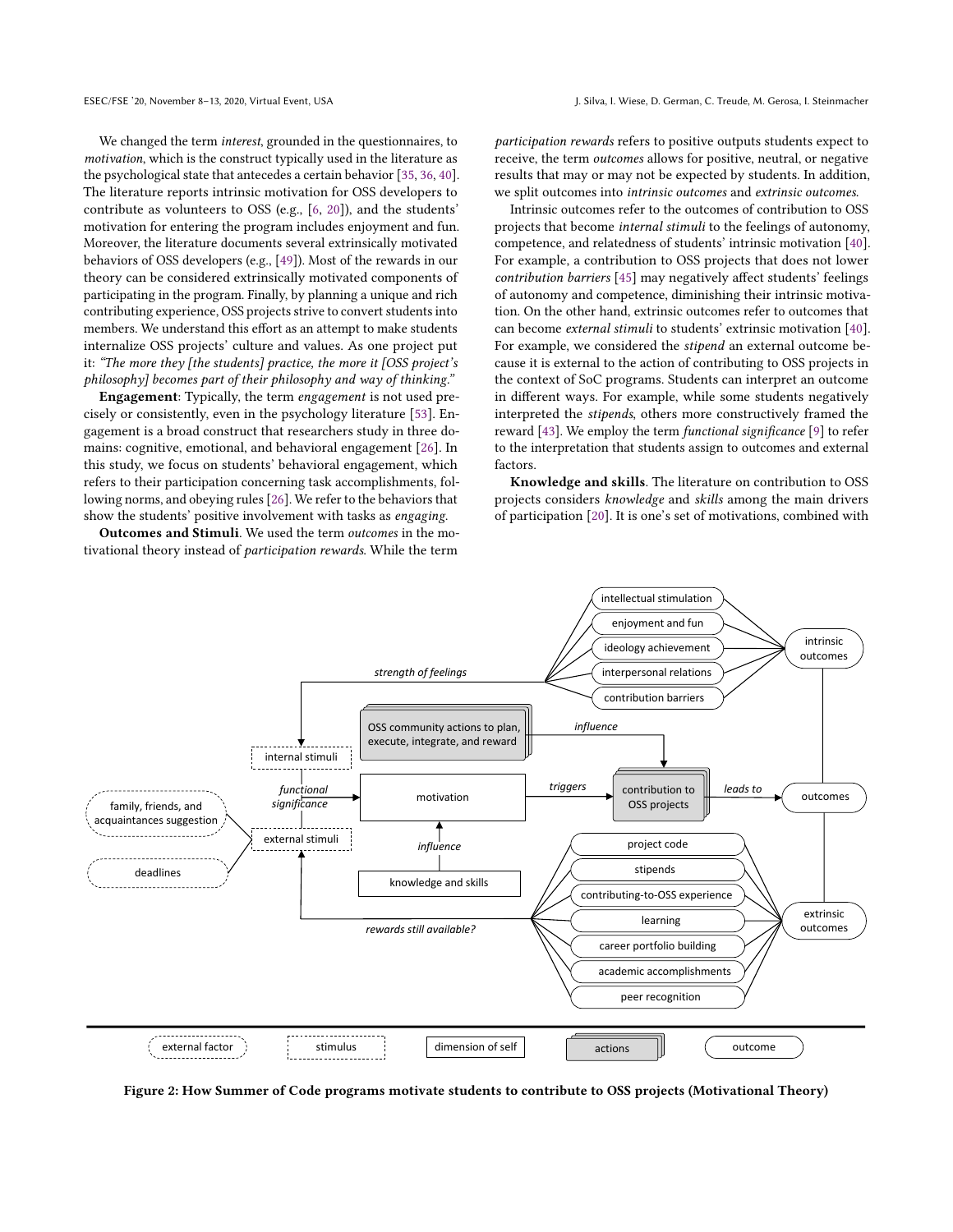We changed the term interest, grounded in the questionnaires, to motivation, which is the construct typically used in the literature as the psychological state that antecedes a certain behavior [\[35,](#page-10-1) [36,](#page-10-20) [40\]](#page-10-16). The literature reports intrinsic motivation for OSS developers to contribute as volunteers to OSS (e.g., [\[6,](#page-9-7) [20\]](#page-9-2)), and the students' motivation for entering the program includes enjoyment and fun. Moreover, the literature documents several extrinsically motivated behaviors of OSS developers (e.g., [\[49\]](#page-10-21)). Most of the rewards in our theory can be considered extrinsically motivated components of participating in the program. Finally, by planning a unique and rich contributing experience, OSS projects strive to convert students into members. We understand this effort as an attempt to make students internalize OSS projects' culture and values. As one project put it: "The more they [the students] practice, the more it [OSS project's philosophy] becomes part of their philosophy and way of thinking."

Engagement: Typically, the term engagement is not used precisely or consistently, even in the psychology literature [\[53\]](#page-10-17). Engagement is a broad construct that researchers study in three domains: cognitive, emotional, and behavioral engagement [\[26\]](#page-10-14). In this study, we focus on students' behavioral engagement, which refers to their participation concerning task accomplishments, following norms, and obeying rules [\[26\]](#page-10-14). We refer to the behaviors that show the students' positive involvement with tasks as engaging.

Outcomes and Stimuli. We used the term outcomes in the motivational theory instead of *participation rewards*. While the term

participation rewards refers to positive outputs students expect to receive, the term outcomes allows for positive, neutral, or negative results that may or may not be expected by students. In addition, we split outcomes into intrinsic outcomes and extrinsic outcomes.

Intrinsic outcomes refer to the outcomes of contribution to OSS projects that become internal stimuli to the feelings of autonomy, competence, and relatedness of students' intrinsic motivation [\[40\]](#page-10-16). For example, a contribution to OSS projects that does not lower contribution barriers [\[45\]](#page-10-22) may negatively affect students' feelings of autonomy and competence, diminishing their intrinsic motivation. On the other hand, extrinsic outcomes refer to outcomes that can become external stimuli to students' extrinsic motivation [\[40\]](#page-10-16). For example, we considered the stipend an external outcome because it is external to the action of contributing to OSS projects in the context of SoC programs. Students can interpret an outcome in different ways. For example, while some students negatively interpreted the stipends, others more constructively framed the reward [\[43\]](#page-10-6). We employ the term functional significance [\[9\]](#page-9-6) to refer to the interpretation that students assign to outcomes and external factors.

Knowledge and skills. The literature on contribution to OSS projects considers knowledge and skills among the main drivers of participation [\[20\]](#page-9-2). It is one's set of motivations, combined with

<span id="page-5-0"></span>

Figure 2: How Summer of Code programs motivate students to contribute to OSS projects (Motivational Theory)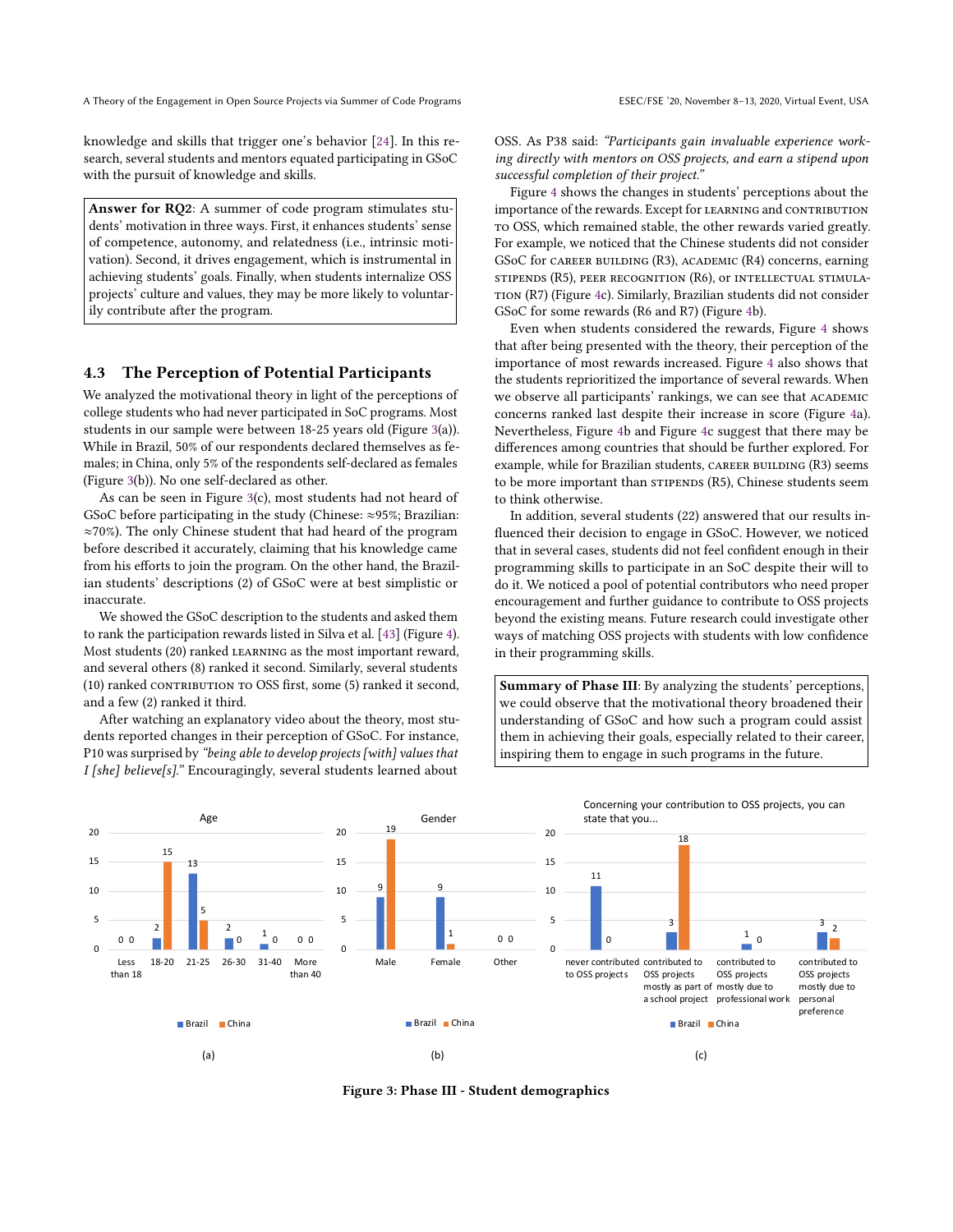knowledge and skills that trigger one's behavior [\[24\]](#page-10-23). In this research, several students and mentors equated participating in GSoC with the pursuit of knowledge and skills.

Answer for RQ2: A summer of code program stimulates students' motivation in three ways. First, it enhances students' sense of competence, autonomy, and relatedness (i.e., intrinsic motivation). Second, it drives engagement, which is instrumental in achieving students' goals. Finally, when students internalize OSS projects' culture and values, they may be more likely to voluntarily contribute after the program.

# 4.3 The Perception of Potential Participants

We analyzed the motivational theory in light of the perceptions of college students who had never participated in SoC programs. Most students in our sample were between 18-25 years old (Figure [3\(](#page-6-0)a)). While in Brazil, 50% of our respondents declared themselves as females; in China, only 5% of the respondents self-declared as females (Figure [3\(](#page-6-0)b)). No one self-declared as other.

As can be seen in Figure [3\(](#page-6-0)c), most students had not heard of GSoC before participating in the study (Chinese: ≈95%; Brazilian: ≈70%). The only Chinese student that had heard of the program before described it accurately, claiming that his knowledge came from his efforts to join the program. On the other hand, the Brazilian students' descriptions (2) of GSoC were at best simplistic or inaccurate.

We showed the GSoC description to the students and asked them to rank the participation rewards listed in Silva et al. [\[43\]](#page-10-6) (Figure [4\)](#page-7-0). Most students (20) ranked learning as the most important reward, and several others (8) ranked it second. Similarly, several students (10) ranked CONTRIBUTION TO OSS first, some (5) ranked it second, and a few (2) ranked it third.

After watching an explanatory video about the theory, most students reported changes in their perception of GSoC. For instance, P10 was surprised by "being able to develop projects [with] values that I [she] believe[s]." Encouragingly, several students learned about

OSS. As P38 said: "Participants gain invaluable experience working directly with mentors on OSS projects, and earn a stipend upon successful completion of their project."

Figure [4](#page-7-0) shows the changes in students' perceptions about the importance of the rewards. Except for LEARNING and CONTRIBUTION to OSS, which remained stable, the other rewards varied greatly. For example, we noticed that the Chinese students did not consider GSoC for career building (R3), academic (R4) concerns, earning stipends (R5), peer recognition (R6), or intellectual stimulation (R7) (Figure [4c](#page-7-0)). Similarly, Brazilian students did not consider GSoC for some rewards (R6 and R7) (Figure [4b](#page-7-0)).

Even when students considered the rewards, Figure [4](#page-7-0) shows that after being presented with the theory, their perception of the importance of most rewards increased. Figure [4](#page-7-0) also shows that the students reprioritized the importance of several rewards. When we observe all participants' rankings, we can see that ACADEMIC concerns ranked last despite their increase in score (Figure [4a](#page-7-0)). Nevertheless, Figure [4b](#page-7-0) and Figure [4c](#page-7-0) suggest that there may be differences among countries that should be further explored. For example, while for Brazilian students, CAREER BUILDING (R3) seems to be more important than sTIPENDS (R5), Chinese students seem to think otherwise.

In addition, several students (22) answered that our results influenced their decision to engage in GSoC. However, we noticed that in several cases, students did not feel confident enough in their programming skills to participate in an SoC despite their will to do it. We noticed a pool of potential contributors who need proper encouragement and further guidance to contribute to OSS projects beyond the existing means. Future research could investigate other ways of matching OSS projects with students with low confidence in their programming skills.

Summary of Phase III: By analyzing the students' perceptions, we could observe that the motivational theory broadened their understanding of GSoC and how such a program could assist them in achieving their goals, especially related to their career, inspiring them to engage in such programs in the future.

<span id="page-6-0"></span>

Figure 3: Phase III - Student demographics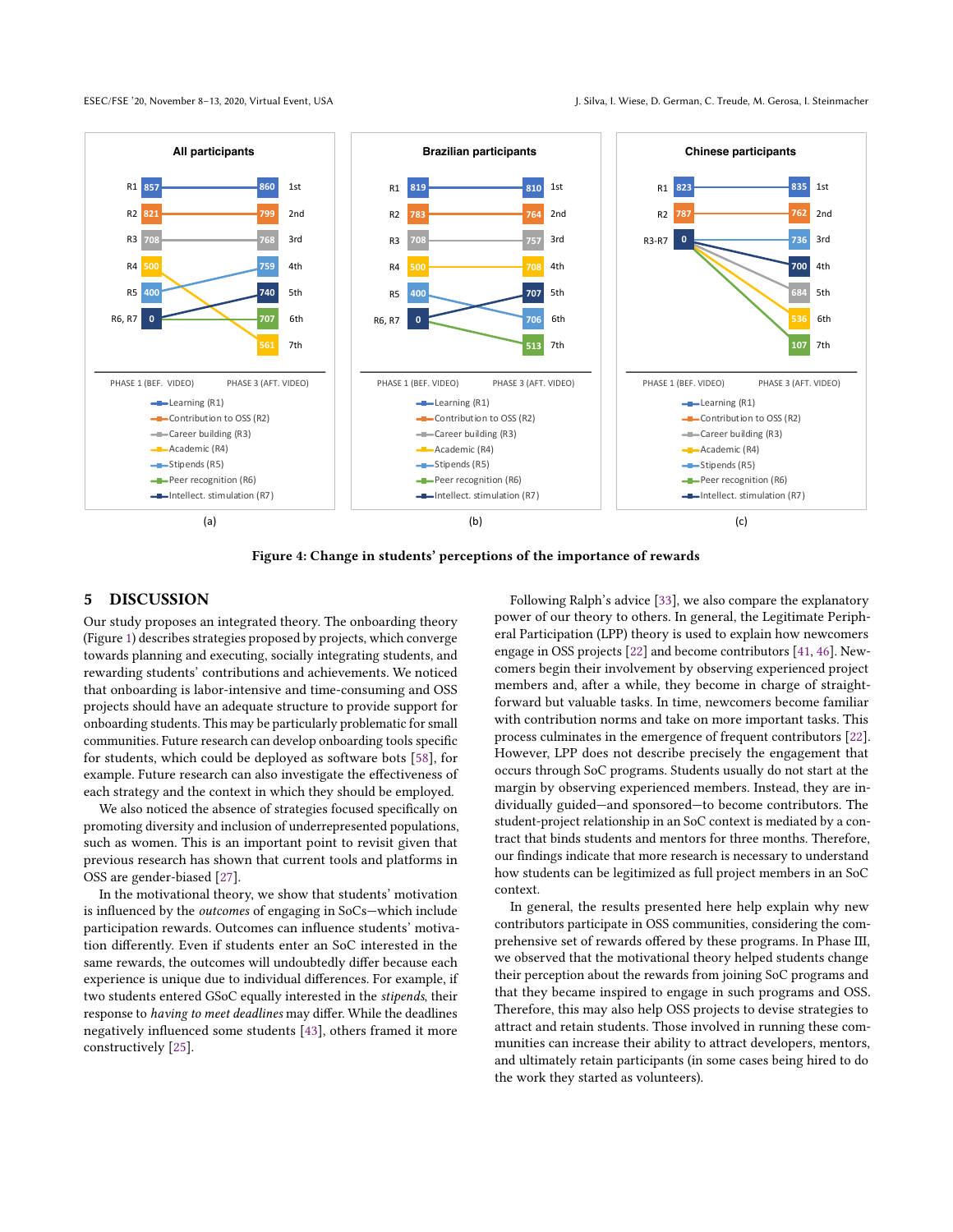<span id="page-7-0"></span>

Figure 4: Change in students' perceptions of the importance of rewards

# 5 DISCUSSION

Our study proposes an integrated theory. The onboarding theory (Figure [1\)](#page-3-0) describes strategies proposed by projects, which converge towards planning and executing, socially integrating students, and rewarding students' contributions and achievements. We noticed that onboarding is labor-intensive and time-consuming and OSS projects should have an adequate structure to provide support for onboarding students. This may be particularly problematic for small communities. Future research can develop onboarding tools specific for students, which could be deployed as software bots [\[58\]](#page-10-24), for example. Future research can also investigate the effectiveness of each strategy and the context in which they should be employed.

We also noticed the absence of strategies focused specifically on promoting diversity and inclusion of underrepresented populations, such as women. This is an important point to revisit given that previous research has shown that current tools and platforms in OSS are gender-biased [\[27\]](#page-10-25).

In the motivational theory, we show that students' motivation is influenced by the outcomes of engaging in SoCs—which include participation rewards. Outcomes can influence students' motivation differently. Even if students enter an SoC interested in the same rewards, the outcomes will undoubtedly differ because each experience is unique due to individual differences. For example, if two students entered GSoC equally interested in the stipends, their response to having to meet deadlines may differ. While the deadlines negatively influenced some students [\[43\]](#page-10-6), others framed it more constructively [\[25\]](#page-10-26).

Following Ralph's advice [\[33\]](#page-10-10), we also compare the explanatory power of our theory to others. In general, the Legitimate Peripheral Participation (LPP) theory is used to explain how newcomers engage in OSS projects [\[22\]](#page-9-8) and become contributors [\[41,](#page-10-27) [46\]](#page-10-2). Newcomers begin their involvement by observing experienced project members and, after a while, they become in charge of straightforward but valuable tasks. In time, newcomers become familiar with contribution norms and take on more important tasks. This process culminates in the emergence of frequent contributors [\[22\]](#page-9-8). However, LPP does not describe precisely the engagement that occurs through SoC programs. Students usually do not start at the margin by observing experienced members. Instead, they are individually guided—and sponsored—to become contributors. The student-project relationship in an SoC context is mediated by a contract that binds students and mentors for three months. Therefore, our findings indicate that more research is necessary to understand how students can be legitimized as full project members in an SoC context.

In general, the results presented here help explain why new contributors participate in OSS communities, considering the comprehensive set of rewards offered by these programs. In Phase III, we observed that the motivational theory helped students change their perception about the rewards from joining SoC programs and that they became inspired to engage in such programs and OSS. Therefore, this may also help OSS projects to devise strategies to attract and retain students. Those involved in running these communities can increase their ability to attract developers, mentors, and ultimately retain participants (in some cases being hired to do the work they started as volunteers).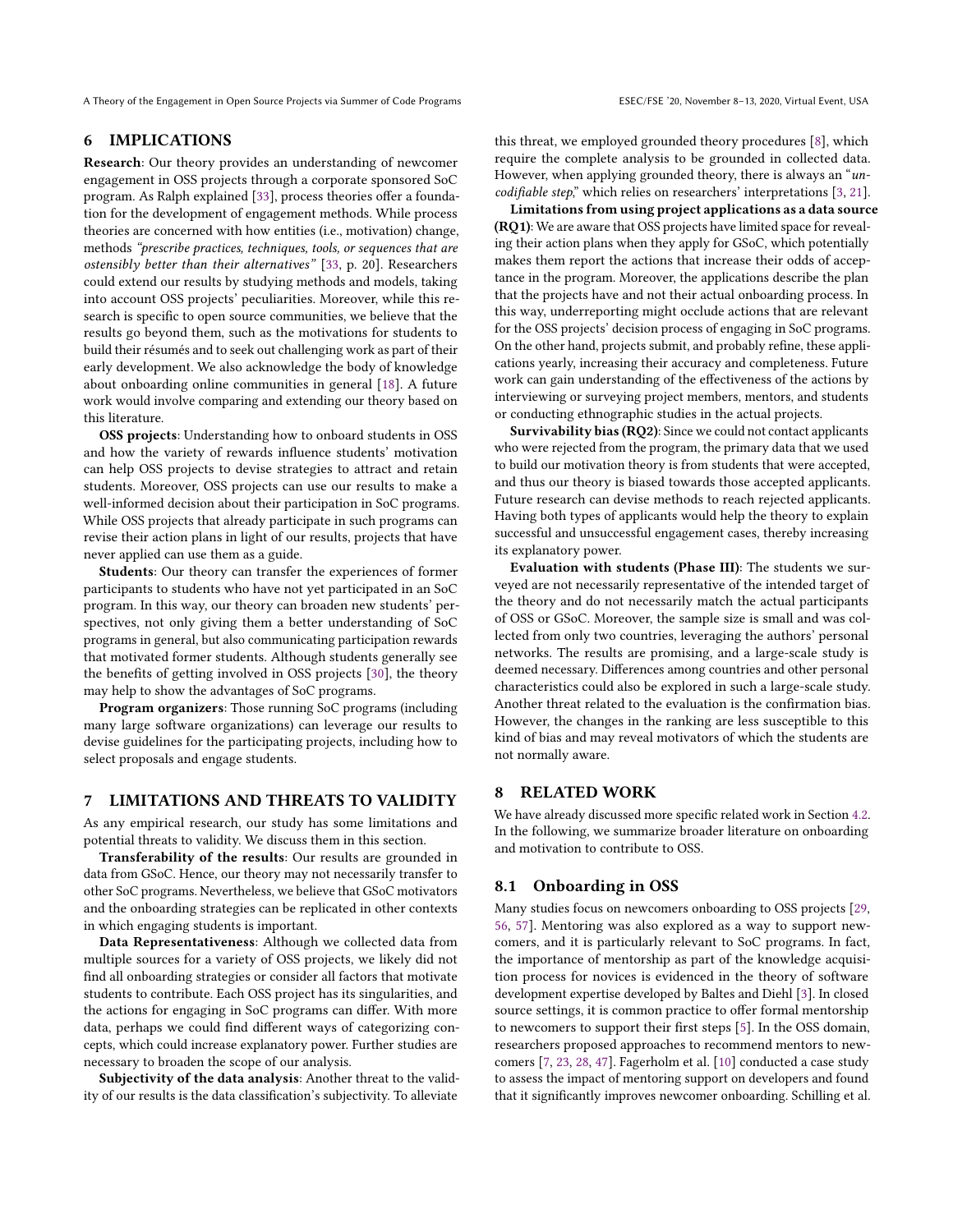# 6 IMPLICATIONS

Research: Our theory provides an understanding of newcomer engagement in OSS projects through a corporate sponsored SoC program. As Ralph explained [\[33\]](#page-10-10), process theories offer a foundation for the development of engagement methods. While process theories are concerned with how entities (i.e., motivation) change, methods "prescribe practices, techniques, tools, or sequences that are ostensibly better than their alternatives" [\[33,](#page-10-10) p. 20]. Researchers could extend our results by studying methods and models, taking into account OSS projects' peculiarities. Moreover, while this research is specific to open source communities, we believe that the results go beyond them, such as the motivations for students to build their résumés and to seek out challenging work as part of their early development. We also acknowledge the body of knowledge about onboarding online communities in general [\[18\]](#page-9-9). A future work would involve comparing and extending our theory based on this literature.

OSS projects: Understanding how to onboard students in OSS and how the variety of rewards influence students' motivation can help OSS projects to devise strategies to attract and retain students. Moreover, OSS projects can use our results to make a well-informed decision about their participation in SoC programs. While OSS projects that already participate in such programs can revise their action plans in light of our results, projects that have never applied can use them as a guide.

Students: Our theory can transfer the experiences of former participants to students who have not yet participated in an SoC program. In this way, our theory can broaden new students' perspectives, not only giving them a better understanding of SoC programs in general, but also communicating participation rewards that motivated former students. Although students generally see the benefits of getting involved in OSS projects [\[30\]](#page-10-28), the theory may help to show the advantages of SoC programs.

Program organizers: Those running SoC programs (including many large software organizations) can leverage our results to devise guidelines for the participating projects, including how to select proposals and engage students.

#### 7 LIMITATIONS AND THREATS TO VALIDITY

As any empirical research, our study has some limitations and potential threats to validity. We discuss them in this section.

Transferability of the results: Our results are grounded in data from GSoC. Hence, our theory may not necessarily transfer to other SoC programs. Nevertheless, we believe that GSoC motivators and the onboarding strategies can be replicated in other contexts in which engaging students is important.

Data Representativeness: Although we collected data from multiple sources for a variety of OSS projects, we likely did not find all onboarding strategies or consider all factors that motivate students to contribute. Each OSS project has its singularities, and the actions for engaging in SoC programs can differ. With more data, perhaps we could find different ways of categorizing concepts, which could increase explanatory power. Further studies are necessary to broaden the scope of our analysis.

Subjectivity of the data analysis: Another threat to the validity of our results is the data classification's subjectivity. To alleviate

this threat, we employed grounded theory procedures [\[8\]](#page-9-5), which require the complete analysis to be grounded in collected data. However, when applying grounded theory, there is always an "uncodifiable step," which relies on researchers' interpretations [\[3,](#page-9-10) [21\]](#page-9-11).

Limitations from using project applications as a data source (RQ1): We are aware that OSS projects have limited space for revealing their action plans when they apply for GSoC, which potentially makes them report the actions that increase their odds of acceptance in the program. Moreover, the applications describe the plan that the projects have and not their actual onboarding process. In this way, underreporting might occlude actions that are relevant for the OSS projects' decision process of engaging in SoC programs. On the other hand, projects submit, and probably refine, these applications yearly, increasing their accuracy and completeness. Future work can gain understanding of the effectiveness of the actions by interviewing or surveying project members, mentors, and students or conducting ethnographic studies in the actual projects.

Survivability bias (RQ2): Since we could not contact applicants who were rejected from the program, the primary data that we used to build our motivation theory is from students that were accepted, and thus our theory is biased towards those accepted applicants. Future research can devise methods to reach rejected applicants. Having both types of applicants would help the theory to explain successful and unsuccessful engagement cases, thereby increasing its explanatory power.

Evaluation with students (Phase III): The students we surveyed are not necessarily representative of the intended target of the theory and do not necessarily match the actual participants of OSS or GSoC. Moreover, the sample size is small and was collected from only two countries, leveraging the authors' personal networks. The results are promising, and a large-scale study is deemed necessary. Differences among countries and other personal characteristics could also be explored in such a large-scale study. Another threat related to the evaluation is the confirmation bias. However, the changes in the ranking are less susceptible to this kind of bias and may reveal motivators of which the students are not normally aware.

## 8 RELATED WORK

We have already discussed more specific related work in Section [4.2.](#page-4-0) In the following, we summarize broader literature on onboarding and motivation to contribute to OSS.

## 8.1 Onboarding in OSS

Many studies focus on newcomers onboarding to OSS projects [\[29,](#page-10-29) [56,](#page-10-30) [57\]](#page-10-31). Mentoring was also explored as a way to support newcomers, and it is particularly relevant to SoC programs. In fact, the importance of mentorship as part of the knowledge acquisition process for novices is evidenced in the theory of software development expertise developed by Baltes and Diehl [\[3\]](#page-9-10). In closed source settings, it is common practice to offer formal mentorship to newcomers to support their first steps [\[5\]](#page-9-12). In the OSS domain, researchers proposed approaches to recommend mentors to newcomers [\[7,](#page-9-13) [23,](#page-9-14) [28,](#page-10-32) [47\]](#page-10-33). Fagerholm et al. [\[10\]](#page-9-15) conducted a case study to assess the impact of mentoring support on developers and found that it significantly improves newcomer onboarding. Schilling et al.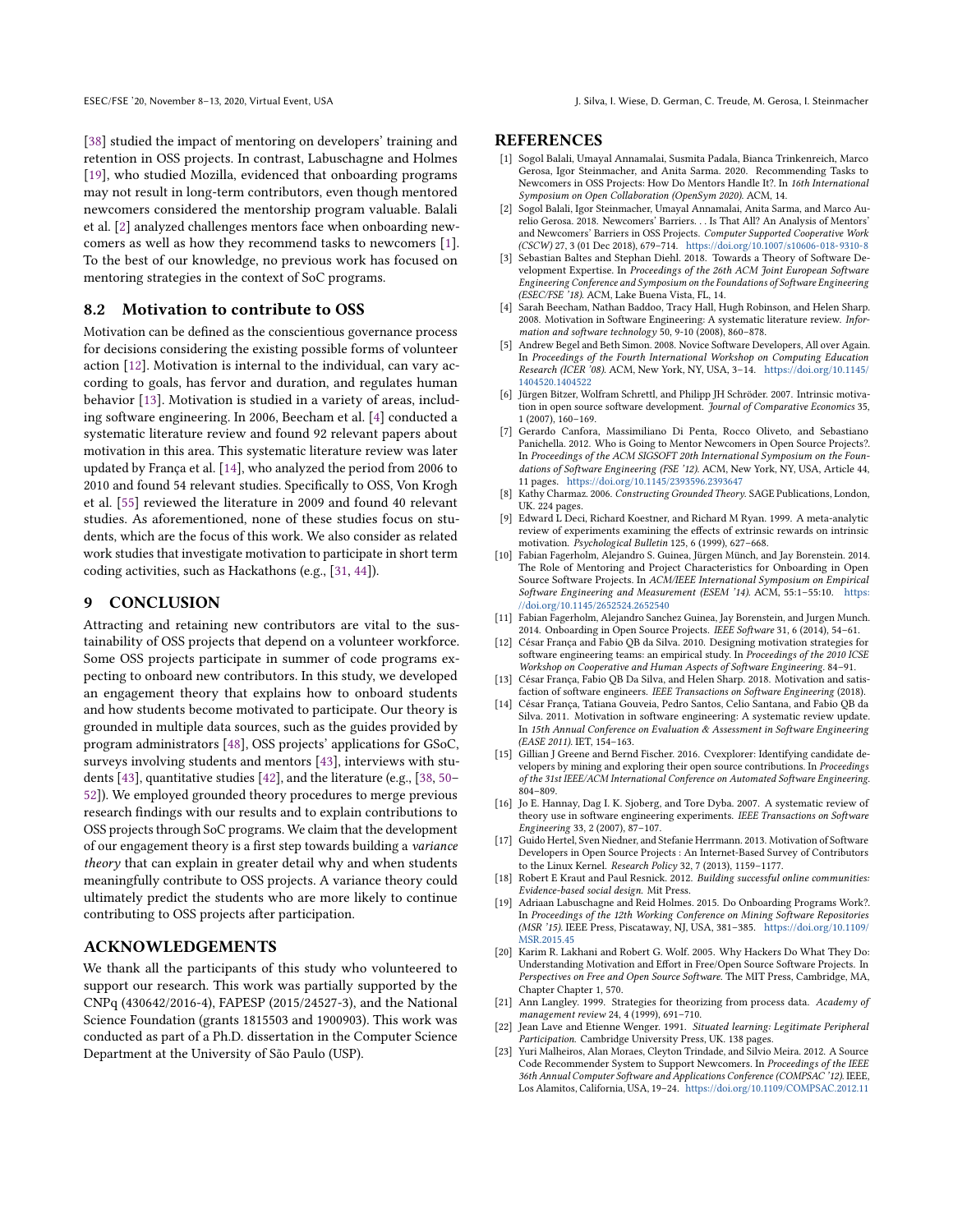[\[38\]](#page-10-8) studied the impact of mentoring on developers' training and retention in OSS projects. In contrast, Labuschagne and Holmes [\[19\]](#page-9-16), who studied Mozilla, evidenced that onboarding programs may not result in long-term contributors, even though mentored newcomers considered the mentorship program valuable. Balali et al. [\[2\]](#page-9-17) analyzed challenges mentors face when onboarding newcomers as well as how they recommend tasks to newcomers [\[1\]](#page-9-18). To the best of our knowledge, no previous work has focused on mentoring strategies in the context of SoC programs.

# 8.2 Motivation to contribute to OSS

Motivation can be defined as the conscientious governance process for decisions considering the existing possible forms of volunteer action [\[12\]](#page-9-19). Motivation is internal to the individual, can vary according to goals, has fervor and duration, and regulates human behavior [\[13\]](#page-9-20). Motivation is studied in a variety of areas, including software engineering. In 2006, Beecham et al. [\[4\]](#page-9-21) conducted a systematic literature review and found 92 relevant papers about motivation in this area. This systematic literature review was later updated by França et al. [\[14\]](#page-9-22), who analyzed the period from 2006 to 2010 and found 54 relevant studies. Specifically to OSS, Von Krogh et al. [\[55\]](#page-10-18) reviewed the literature in 2009 and found 40 relevant studies. As aforementioned, none of these studies focus on students, which are the focus of this work. We also consider as related work studies that investigate motivation to participate in short term coding activities, such as Hackathons (e.g., [\[31,](#page-10-34) [44\]](#page-10-35)).

#### 9 CONCLUSION

Attracting and retaining new contributors are vital to the sustainability of OSS projects that depend on a volunteer workforce. Some OSS projects participate in summer of code programs expecting to onboard new contributors. In this study, we developed an engagement theory that explains how to onboard students and how students become motivated to participate. Our theory is grounded in multiple data sources, such as the guides provided by program administrators [\[48\]](#page-10-12), OSS projects' applications for GSoC, surveys involving students and mentors [\[43\]](#page-10-6), interviews with students [\[43\]](#page-10-6), quantitative studies [\[42\]](#page-10-4), and the literature (e.g., [\[38,](#page-10-8) [50–](#page-10-7) [52\]](#page-10-36)). We employed grounded theory procedures to merge previous research findings with our results and to explain contributions to OSS projects through SoC programs. We claim that the development of our engagement theory is a first step towards building a variance theory that can explain in greater detail why and when students meaningfully contribute to OSS projects. A variance theory could ultimately predict the students who are more likely to continue contributing to OSS projects after participation.

#### ACKNOWLEDGEMENTS

We thank all the participants of this study who volunteered to support our research. This work was partially supported by the CNPq (430642/2016-4), FAPESP (2015/24527-3), and the National Science Foundation (grants 1815503 and 1900903). This work was conducted as part of a Ph.D. dissertation in the Computer Science Department at the University of São Paulo (USP).

#### **REFERENCES**

- <span id="page-9-18"></span>[1] Sogol Balali, Umayal Annamalai, Susmita Padala, Bianca Trinkenreich, Marco Gerosa, Igor Steinmacher, and Anita Sarma. 2020. Recommending Tasks to Newcomers in OSS Projects: How Do Mentors Handle It?. In 16th International Symposium on Open Collaboration (OpenSym 2020). ACM, 14.
- <span id="page-9-17"></span>[2] Sogol Balali, Igor Steinmacher, Umayal Annamalai, Anita Sarma, and Marco Aurelio Gerosa. 2018. Newcomers' Barriers. . . Is That All? An Analysis of Mentors' and Newcomers' Barriers in OSS Projects. Computer Supported Cooperative Work (CSCW) 27, 3 (01 Dec 2018), 679–714. <https://doi.org/10.1007/s10606-018-9310-8>
- <span id="page-9-10"></span>[3] Sebastian Baltes and Stephan Diehl. 2018. Towards a Theory of Software Development Expertise. In Proceedings of the 26th ACM Joint European Software Engineering Conference and Symposium on the Foundations of Software Engineering (ESEC/FSE '18). ACM, Lake Buena Vista, FL, 14.
- <span id="page-9-21"></span>[4] Sarah Beecham, Nathan Baddoo, Tracy Hall, Hugh Robinson, and Helen Sharp. 2008. Motivation in Software Engineering: A systematic literature review. Information and software technology 50, 9-10 (2008), 860–878.
- <span id="page-9-12"></span>[5] Andrew Begel and Beth Simon. 2008. Novice Software Developers, All over Again. In Proceedings of the Fourth International Workshop on Computing Education Research (ICER '08). ACM, New York, NY, USA, 3–14. [https://doi.org/10.1145/](https://doi.org/10.1145/1404520.1404522) [1404520.1404522](https://doi.org/10.1145/1404520.1404522)
- <span id="page-9-7"></span>[6] Jürgen Bitzer, Wolfram Schrettl, and Philipp JH Schröder. 2007. Intrinsic motivation in open source software development. Journal of Comparative Economics 35, 1 (2007), 160–169.
- <span id="page-9-13"></span>[7] Gerardo Canfora, Massimiliano Di Penta, Rocco Oliveto, and Sebastiano Panichella. 2012. Who is Going to Mentor Newcomers in Open Source Projects?. In Proceedings of the ACM SIGSOFT 20th International Symposium on the Foundations of Software Engineering (FSE '12). ACM, New York, NY, USA, Article 44, 11 pages. <https://doi.org/10.1145/2393596.2393647>
- <span id="page-9-5"></span>[8] Kathy Charmaz. 2006. Constructing Grounded Theory. SAGE Publications, London, UK. 224 pages.
- <span id="page-9-6"></span>[9] Edward L Deci, Richard Koestner, and Richard M Ryan. 1999. A meta-analytic review of experiments examining the effects of extrinsic rewards on intrinsic motivation. Psychological Bulletin 125, 6 (1999), 627–668.
- <span id="page-9-15"></span>[10] Fabian Fagerholm, Alejandro S. Guinea, Jürgen Münch, and Jay Borenstein. 2014. The Role of Mentoring and Project Characteristics for Onboarding in Open Source Software Projects. In ACM/IEEE International Symposium on Empirical Software Engineering and Measurement (ESEM '14). ACM, 55:1-55:10. [https:](https://doi.org/10.1145/2652524.2652540) [//doi.org/10.1145/2652524.2652540](https://doi.org/10.1145/2652524.2652540)
- <span id="page-9-0"></span>[11] Fabian Fagerholm, Alejandro Sanchez Guinea, Jay Borenstein, and Jurgen Munch. 2014. Onboarding in Open Source Projects. IEEE Software 31, 6 (2014), 54–61.
- <span id="page-9-19"></span>[12] César França and Fabio QB da Silva. 2010. Designing motivation strategies for software engineering teams: an empirical study. In Proceedings of the 2010 ICSE Workshop on Cooperative and Human Aspects of Software Engineering. 84–91.
- <span id="page-9-20"></span>[13] César França, Fabio QB Da Silva, and Helen Sharp. 2018. Motivation and satisfaction of software engineers. IEEE Transactions on Software Engineering (2018).
- <span id="page-9-22"></span>[14] César França, Tatiana Gouveia, Pedro Santos, Celio Santana, and Fabio QB da Silva. 2011. Motivation in software engineering: A systematic review update. In 15th Annual Conference on Evaluation & Assessment in Software Engineering (EASE 2011). IET, 154–163.
- <span id="page-9-3"></span>[15] Gillian J Greene and Bernd Fischer. 2016. Cvexplorer: Identifying candidate developers by mining and exploring their open source contributions. In Proceedings of the 31st IEEE/ACM International Conference on Automated Software Engineering. 804–809.
- <span id="page-9-4"></span>[16] Jo E. Hannay, Dag I. K. Sjoberg, and Tore Dyba. 2007. A systematic review of theory use in software engineering experiments. IEEE Transactions on Software Engineering 33, 2 (2007), 87–107.
- <span id="page-9-1"></span>[17] Guido Hertel, Sven Niedner, and Stefanie Herrmann. 2013. Motivation of Software Developers in Open Source Projects : An Internet-Based Survey of Contributors to the Linux Kernel. Research Policy 32, 7 (2013), 1159–1177.
- <span id="page-9-9"></span>[18] Robert E Kraut and Paul Resnick. 2012. Building successful online communities: Evidence-based social design. Mit Press.
- <span id="page-9-16"></span>[19] Adriaan Labuschagne and Reid Holmes. 2015. Do Onboarding Programs Work?. In Proceedings of the 12th Working Conference on Mining Software Repositories (MSR '15). IEEE Press, Piscataway, NJ, USA, 381–385. [https://doi.org/10.1109/](https://doi.org/10.1109/MSR.2015.45) [MSR.2015.45](https://doi.org/10.1109/MSR.2015.45)
- <span id="page-9-2"></span>[20] Karim R. Lakhani and Robert G. Wolf. 2005. Why Hackers Do What They Do: Understanding Motivation and Effort in Free/Open Source Software Projects. In Perspectives on Free and Open Source Software. The MIT Press, Cambridge, MA, Chapter Chapter 1, 570.
- <span id="page-9-11"></span>[21] Ann Langley. 1999. Strategies for theorizing from process data. Academy of management review 24, 4 (1999), 691–710.
- <span id="page-9-8"></span>[22] Jean Lave and Etienne Wenger. 1991. Situated learning: Legitimate Peripheral Participation. Cambridge University Press, UK. 138 pages.
- <span id="page-9-14"></span>[23] Yuri Malheiros, Alan Moraes, Cleyton Trindade, and Silvio Meira. 2012. A Source Code Recommender System to Support Newcomers. In Proceedings of the IEEE 36th Annual Computer Software and Applications Conference (COMPSAC '12). IEEE, Los Alamitos, California, USA, 19–24. <https://doi.org/10.1109/COMPSAC.2012.11>